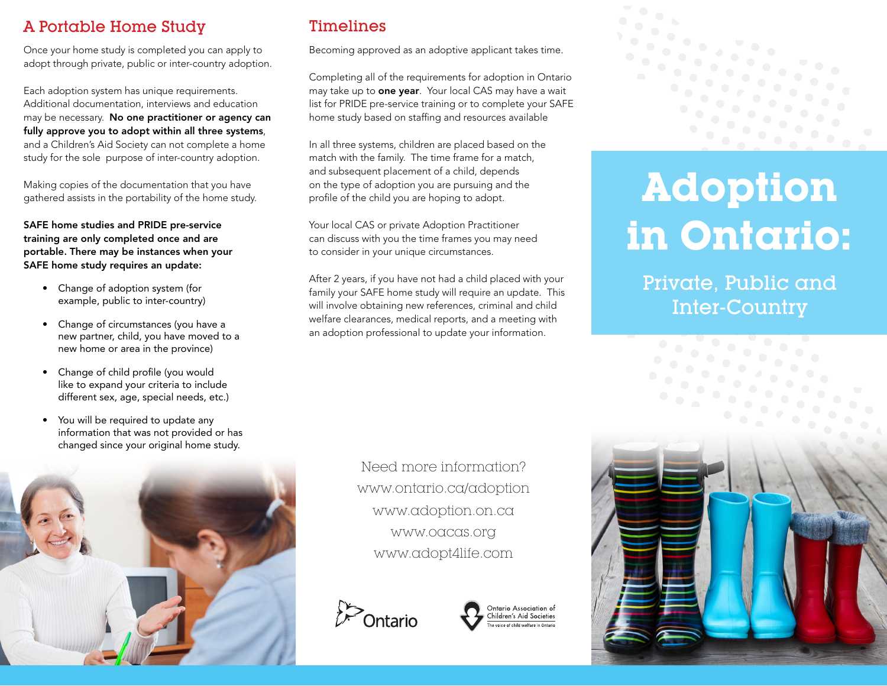## A Portable Home Study

Once your home study is completed you can apply to adopt through private, public or inter-country adoption.

Each adoption system has unique requirements. Additional documentation, interviews and education may be necessary. No one practitioner or agency can fully approve you to adopt within all three systems, and a Children's Aid Society can not complete a home study for the sole purpose of inter-country adoption.

Making copies of the documentation that you have gathered assists in the portability of the home study.

SAFE home studies and PRIDE pre-service training are only completed once and are portable. There may be instances when your SAFE home study requires an update:

- Change of adoption system (for example, public to inter-country)
- Change of circumstances (you have a new partner, child, you have moved to a new home or area in the province)
- Change of child profile (you would like to expand your criteria to include different sex, age, special needs, etc.)
- You will be required to update any information that was not provided or has changed since your original home study.



## Timelines

Becoming approved as an adoptive applicant takes time.

Completing all of the requirements for adoption in Ontario may take up to **one year**. Your local CAS may have a wait list for PRIDE pre-service training or to complete your SAFE home study based on staffing and resources available

In all three systems, children are placed based on the match with the family. The time frame for a match, and subsequent placement of a child, depends on the type of adoption you are pursuing and the profile of the child you are hoping to adopt.

Your local CAS or private Adoption Practitioner can discuss with you the time frames you may need to consider in your unique circumstances.

After 2 years, if you have not had a child placed with your family your SAFE home study will require an update. This will involve obtaining new references, criminal and child welfare clearances, medical reports, and a meeting with an adoption professional to update your information.

> Need more information? www.ontario.ca/adoption www.adoption.on.ca www.oacas.org www.adopt4life.com







# **Adoption in Ontario:**

Private, Public and Inter-Country